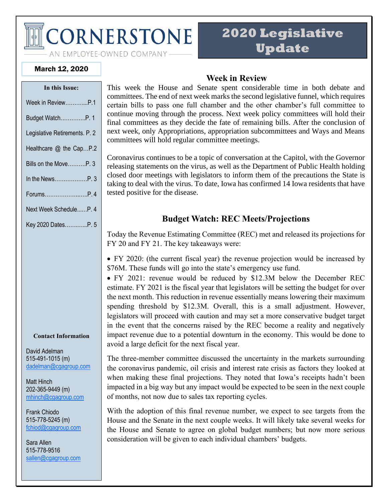**CORNERSTONE** 

# **2020 Legislative Update**

AN EMPLOYEE-OWNED COMPANY-

#### March 12, 2020

| In this Issue:                |
|-------------------------------|
| Week in ReviewP.1             |
| Budget WatchP. 1              |
| Legislative Retirements. P. 2 |
| Healthcare @ the CapP.2       |
| Bills on the MoveP. 3         |
|                               |
| ForumsP. 4                    |
| Next Week ScheduleP. 4        |
| Key 2020 DatesP. 5            |

#### **Contact Information**

David Adelman 515-491-1015 (m) [dadelman@cgagroup.com](mailto:dadelman@cgagroup.com)

Matt Hinch 202-365-9449 (m) [mhinch@cgagroup.com](mailto:mhinch@cgagroup.com)

Frank Chiodo 515-778-5245 (m) [fchiod@cgagroup.com](mailto:fchiod@cgagroup.com)

Sara Allen 515-778-9516 [sallen@cgagroup.com](mailto:sallen@cgagroup.com)

### **Week in Review**

This week the House and Senate spent considerable time in both debate and committees. The end of next week marks the second legislative funnel, which requires certain bills to pass one full chamber and the other chamber's full committee to continue moving through the process. Next week policy committees will hold their final committees as they decide the fate of remaining bills. After the conclusion of next week, only Appropriations, appropriation subcommittees and Ways and Means committees will hold regular committee meetings.

Coronavirus continues to be a topic of conversation at the Capitol, with the Governor releasing statements on the virus, as well as the Department of Public Health holding closed door meetings with legislators to inform them of the precautions the State is taking to deal with the virus. To date, Iowa has confirmed 14 Iowa residents that have tested positive for the disease.

# **Budget Watch: REC Meets/Projections**

Today the Revenue Estimating Committee (REC) met and released its projections for FY 20 and FY 21. The key takeaways were:

• FY 2020: (the current fiscal year) the revenue projection would be increased by \$76M. These funds will go into the state's emergency use fund.

• FY 2021: revenue would be reduced by \$12.3M below the December REC estimate. FY 2021 is the fiscal year that legislators will be setting the budget for over the next month. This reduction in revenue essentially means lowering their maximum spending threshold by \$12.3M. Overall, this is a small adjustment. However, legislators will proceed with caution and may set a more conservative budget target in the event that the concerns raised by the REC become a reality and negatively impact revenue due to a potential downturn in the economy. This would be done to avoid a large deficit for the next fiscal year.

The three-member committee discussed the uncertainty in the markets surrounding the coronavirus pandemic, oil crisis and interest rate crisis as factors they looked at when making these final projections. They noted that Iowa's receipts hadn't been impacted in a big way but any impact would be expected to be seen in the next couple of months, not now due to sales tax reporting cycles.

With the adoption of this final revenue number, we expect to see targets from the House and the Senate in the next couple weeks. It will likely take several weeks for the House and Senate to agree on global budget numbers; but now more serious consideration will be given to each individual chambers' budgets.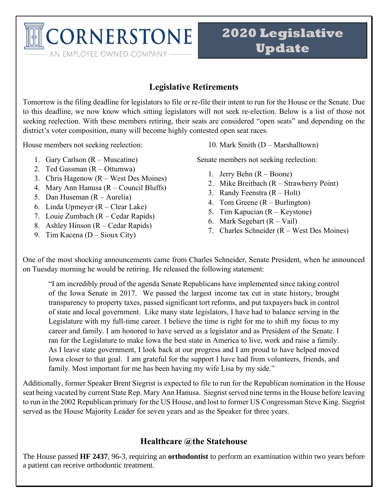**TCORNERSTONE** AN EMPLOYEE-OWNED COMPANY-

# **2020 Legislative Update**

# **Legislative Retirements**

Tomorrow is the filing deadline for legislators to file or re-file their intent to run for the House or the Senate. Due to this deadline, we now know which sitting legislators will not seek re-election. Below is a list of those not seeking reelection. With these members retiring, their seats are considered "open seats" and depending on the district's voter composition, many will become highly contested open seat races.

House members not seeking reelection:

- 1. Gary Carlson (R Muscatine)
- 2. Ted Gassman (R Ottumwa)
- 3. Chris Hagenow (R West Des Moines)
- 4. Mary Ann Hanusa (R Council Bluffs)
- 5. Dan Huseman (R Aurelia)
- 6. Linda Upmeyer (R Clear Lake)
- 7. Louie Zumbach (R Cedar Rapids)
- 8. Ashley Hinson (R Cedar Rapids)
- 9. Tim Kacena (D Sioux City)

10. Mark Smith (D – Marshalltown)

Senate members not seeking reelection:

- 1. Jerry Behn (R Boone)
- 2. Mike Breitbach (R Strawberry Point)
- 3. Randy Feenstra (R Holt)
- 4. Tom Greene (R Burlington)
- 5. Tim Kapucian (R Keystone)
- 6. Mark Segebart  $(R Vai)$
- 7. Charles Schneider (R West Des Moines)

One of the most shocking announcements came from Charles Schneider, Senate President, when he announced on Tuesday morning he would be retiring. He released the following statement:

"I am incredibly proud of the agenda Senate Republicans have implemented since taking control of the Iowa Senate in 2017. We passed the largest income tax cut in state history, brought transparency to property taxes, passed significant tort reforms, and put taxpayers back in control of state and local government. Like many state legislators, I have had to balance serving in the Legislature with my full-time career. I believe the time is right for me to shift my focus to my career and family. I am honored to have served as a legislator and as President of the Senate. I ran for the Legislature to make Iowa the best state in America to live, work and raise a family. As I leave state government, I look back at our progress and I am proud to have helped moved Iowa closer to that goal. I am grateful for the support I have had from volunteers, friends, and family. Most important for me has been having my wife Lisa by my side."

Additionally, former Speaker Brent Siegrist is expected to file to run for the Republican nomination in the House seat being vacated by current State Rep. Mary Ann Hanusa. Siegrist served nine terms in the House before leaving to run in the 2002 Republican primary for the US House, and lost to former US Congressman Steve King. Siegrist served as the House Majority Leader for seven years and as the Speaker for three years.

# **Healthcare @the Statehouse**

The House passed **HF 2437**, 96-3, requiring an **orthodontist** to perform an examination within two years before a patient can receive orthodontic treatment.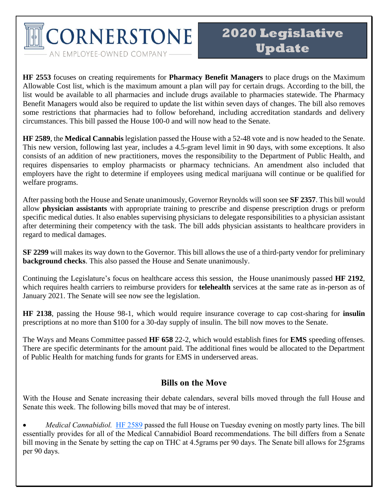**CORNERSTONE** 

AN EMPLOYEE-OWNED COMPANY-

**HF 2553** focuses on creating requirements for **Pharmacy Benefit Managers** to place drugs on the Maximum Allowable Cost list, which is the maximum amount a plan will pay for certain drugs. According to the bill, the list would be available to all pharmacies and include drugs available to pharmacies statewide. The Pharmacy Benefit Managers would also be required to update the list within seven days of changes. The bill also removes some restrictions that pharmacies had to follow beforehand, including accreditation standards and delivery circumstances. This bill passed the House 100-0 and will now head to the Senate.

**HF 2589**, the **Medical Cannabis** legislation passed the House with a 52-48 vote and is now headed to the Senate. This new version, following last year, includes a 4.5-gram level limit in 90 days, with some exceptions. It also consists of an addition of new practitioners, moves the responsibility to the Department of Public Health, and requires dispensaries to employ pharmacists or pharmacy technicians. An amendment also included that employers have the right to determine if employees using medical marijuana will continue or be qualified for welfare programs.

After passing both the House and Senate unanimously, Governor Reynolds will soon see **SF 2357**. This bill would allow **physician assistants** with appropriate training to prescribe and dispense prescription drugs or preform specific medical duties. It also enables supervising physicians to delegate responsibilities to a physician assistant after determining their competency with the task. The bill adds physician assistants to healthcare providers in regard to medical damages.

**SF 2299** will makes its way down to the Governor. This bill allows the use of a third-party vendor for preliminary **background checks**. This also passed the House and Senate unanimously.

Continuing the Legislature's focus on healthcare access this session, the House unanimously passed **HF 2192**, which requires health carriers to reimburse providers for **telehealth** services at the same rate as in-person as of January 2021. The Senate will see now see the legislation.

**HF 2138**, passing the House 98-1, which would require insurance coverage to cap cost-sharing for **insulin** prescriptions at no more than \$100 for a 30-day supply of insulin. The bill now moves to the Senate.

The Ways and Means Committee passed **HF 658** 22-2, which would establish fines for **EMS** speeding offenses. There are specific determinants for the amount paid. The additional fines would be allocated to the Department of Public Health for matching funds for grants for EMS in underserved areas.

### **Bills on the Move**

With the House and Senate increasing their debate calendars, several bills moved through the full House and Senate this week. The following bills moved that may be of interest.

• *Medical Cannabidiol.* [HF 2589](https://www.legis.iowa.gov/legislation/BillBook?ga=88&ba=hf2589) passed the full House on Tuesday evening on mostly party lines. The bill essentially provides for all of the Medical Cannabidiol Board recommendations. The bill differs from a Senate bill moving in the Senate by setting the cap on THC at 4.5grams per 90 days. The Senate bill allows for 25grams per 90 days.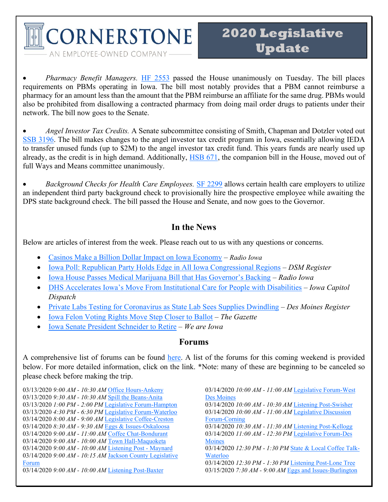**CORNERSTONE** AN EMPLOYEE-OWNED COMPANY-

• *Pharmacy Benefit Managers.* [HF 2553](https://www.legis.iowa.gov/legislation/BillBook?ga=88&ba=hf2553) passed the House unanimously on Tuesday. The bill places requirements on PBMs operating in Iowa. The bill most notably provides that a PBM cannot reimburse a pharmacy for an amount less than the amount that the PBM reimburse an affiliate for the same drug. PBMs would also be prohibited from disallowing a contracted pharmacy from doing mail order drugs to patients under their network. The bill now goes to the Senate.

• *Angel Investor Tax Credits.* A Senate subcommittee consisting of Smith, Chapman and Dotzler voted out [SSB 3196.](https://www.legis.iowa.gov/legislation/BillBook?ga=88&ba=ssb3196) The bill makes changes to the angel investor tax credit program in Iowa, essentially allowing IEDA to transfer unused funds (up to \$2M) to the angel investor tax credit fund. This years funds are nearly used up already, as the credit is in high demand. Additionally, [HSB 671,](https://www.legis.iowa.gov/legislation/BillBook?ga=88&ba=hsb671) the companion bill in the House, moved out of full Ways and Means committee unanimously.

• *Background Checks for Health Care Employees.* [SF 2299](https://www.legis.iowa.gov/legislation/BillBook?ba=SF2299&ga=88) allows certain health care employers to utilize an independent third party background check to provisionally hire the prospective employee while awaiting the DPS state background check. The bill passed the House and Senate, and now goes to the Governor.

### **In the News**

Below are articles of interest from the week. Please reach out to us with any questions or concerns.

- [Casinos Make a Billion Dollar Impact on Iowa Economy](https://www.radioiowa.com/2020/03/10/149295/) *Radio Iowa*
- [Iowa Poll: Republican Party Holds Edge in All Iowa Congressional Regions](https://www.desmoinesregister.com/story/news/politics/iowa-poll/2020/03/11/iowans-lean-toward-republicans-congress-election-2020-iowa-poll/4978477002/) *DSM Register*
- [Iowa House Passes Medical Marijuana Bill that Has Governor's Backing](https://www.radioiowa.com/2020/03/10/iowa-house-passes-medical-marijuana-bill-that-has-governors-backing/) *Radio Iowa*
- [DHS Accelerates Iowa's Move From Institutional Care for People with Disabilities](https://iowacapitaldispatch.com/2020/03/11/dhs-accelerates-iowas-move-from-institutional-care-for-people-with-disabilities/) *Iowa Capitol Dispatch*
- [Private Labs Testing for Coronavirus as State Lab Sees Supplies Dwindling](https://www.desmoinesregister.com/story/news/health/2020/03/12/coronavirus-iowa-private-labs-iowa-hygienic-lab-150-testing-quest-labcorp-arup-disease-supplies/5018513002/) *Des Moines Register*
- [Iowa Felon Voting Rights Move Step Closer to Ballot](https://www.thegazette.com/subject/news/government/iowa-felon-voting-rights-restoration-moves-one-step-closer-to-ballot-20200311) *The Gazette*
- [Iowa Senate President Schneider to Retire](https://www.weareiowa.com/article/news/local/iowa-senate-president-charles-schneider-to-retire/524-b7b84b37-9c31-4294-acfe-65475f8d56c1) *We are Iowa*

#### **Forums**

A comprehensive list of forums can be found [here.](http://www.infonetiowa.org/calendar/events/) A list of the forums for this coming weekend is provided below. For more detailed information, click on the link. \*Note: many of these are beginning to be canceled so please check before making the trip.

03/13/2020 *9:00 AM - 10:30 AM* [Office Hours-Ankeny](http://www.infonetiowa.org/calendar/events/event-3493/) 03/13/2020 *9:30 AM - 10:30 AM* [Spill the Beans-Anita](http://www.infonetiowa.org/calendar/events/event-3721/) 03/13/2020 *1:00 PM - 2:00 PM* [Legislative Forum-Hampton](http://www.infonetiowa.org/calendar/events/event-3777/) 03/13/2020 *4:30 PM - 6:30 PM* [Legislative Forum-Waterloo](http://www.infonetiowa.org/calendar/events/event-3494/) 03/14/2020 *8:00 AM - 9:00 AM* [Legislative Coffee-Creston](http://www.infonetiowa.org/calendar/events/event-3495/) 03/14/2020 *8:30 AM - 9:30 AM* [Eggs & Issues-Oskaloosa](http://www.infonetiowa.org/calendar/events/event-3561/) 03/14/2020 *9:00 AM - 11:00 AM* [Coffee Chat-Bondurant](http://www.infonetiowa.org/calendar/events/event-3601/) 03/14/2020 *9:00 AM - 10:00 AM* [Town Hall-Maquoketa](http://www.infonetiowa.org/calendar/events/event-3778/) 03/14/2020 *9:00 AM - 10:00 AM* [Listening Post -](http://www.infonetiowa.org/calendar/events/event-3689/) Maynard 03/14/2020 *9:00 AM - 10:15 AM* [Jackson County Legislative](http://www.infonetiowa.org/calendar/events/event-3648/)  [Forum](http://www.infonetiowa.org/calendar/events/event-3648/)  03/14/2020 *9:00 AM - 10:00 AM* [Listening Post-Baxter](http://www.infonetiowa.org/calendar/events/event-3806/)

03/14/2020 *10:00 AM - 11:00 AM* [Legislative Forum-West](http://www.infonetiowa.org/calendar/events/event-3746/)  [Des Moines](http://www.infonetiowa.org/calendar/events/event-3746/) 03/14/2020 *10:00 AM - 10:30 AM* [Listening Post-Swisher](http://www.infonetiowa.org/calendar/events/event-3807/) 03/14/2020 *10:00 AM - 11:00 AM* [Legislative Discussion](http://www.infonetiowa.org/calendar/events/event-3496/)  [Forum-Corning](http://www.infonetiowa.org/calendar/events/event-3496/) 03/14/2020 *10:30 AM - 11:30 AM* [Listening Post-Kellogg](http://www.infonetiowa.org/calendar/events/event-3808/) 03/14/2020 *11:00 AM - 12:30 PM* [Legislative Forum-Des](http://www.infonetiowa.org/calendar/events/event-3722/)  [Moines](http://www.infonetiowa.org/calendar/events/event-3722/) 03/14/2020 *12:30 PM - 1:30 PM* [State & Local Coffee Talk-](http://www.infonetiowa.org/calendar/events/event-3810/)[Waterloo](http://www.infonetiowa.org/calendar/events/event-3810/) 03/14/2020 *12:30 PM - 1:30 PM* [Listening Post-Lone Tree](http://www.infonetiowa.org/calendar/events/event-3809/) 03/15/2020 *7:30 AM - 9:00 AM* [Eggs and Issues-Burlington](http://www.infonetiowa.org/calendar/events/event-3497/)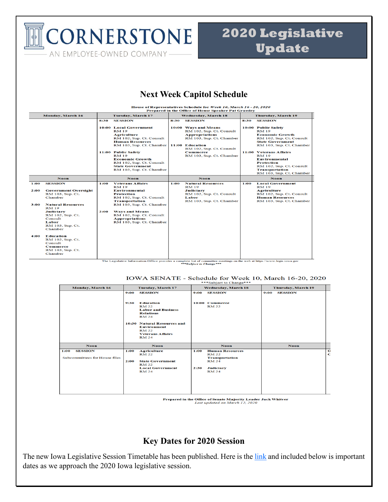CORNERSTONE AN EMPLOYEE-OWNED COMPANY-

# **2020 Legislative Update**

# **Next Week Capitol Schedule**

|                              | House of Representatives Schedule for Week 10, March 16 - 20, 2020<br>Prepared in the Office of House Speaker Pat Grassley                                                                                                              |                          |                                                                                                                                                                                                                                                                                                                             |                            |                                                                                                                                                                                                                |                           |                                                                                                                                                                                                                                                                                                                                            |  |
|------------------------------|-----------------------------------------------------------------------------------------------------------------------------------------------------------------------------------------------------------------------------------------|--------------------------|-----------------------------------------------------------------------------------------------------------------------------------------------------------------------------------------------------------------------------------------------------------------------------------------------------------------------------|----------------------------|----------------------------------------------------------------------------------------------------------------------------------------------------------------------------------------------------------------|---------------------------|--------------------------------------------------------------------------------------------------------------------------------------------------------------------------------------------------------------------------------------------------------------------------------------------------------------------------------------------|--|
| Monday, March 16             |                                                                                                                                                                                                                                         | <b>Tuesday, March 17</b> |                                                                                                                                                                                                                                                                                                                             | <b>Wednesday, March 18</b> |                                                                                                                                                                                                                | <b>Thursday, March 19</b> |                                                                                                                                                                                                                                                                                                                                            |  |
|                              |                                                                                                                                                                                                                                         | 8:30                     | <b>SESSION</b><br><b>10:00 Local Government</b><br><b>RM 19</b><br><b>Agriculture</b><br>RM 102, Sup. Ct. Consult<br><b>Human Resources</b><br>RM 103, Sup. Ct. Chamber<br>11:00 Public Safety<br><b>RM 19</b><br><b>Economic Growth</b><br>RM 102, Sup. Ct. Consult<br><b>State Government</b><br>RM 103, Sup. Ct. Chamber | 8:30                       | <b>SESSION</b><br>10:00 Ways and Means<br>RM 102, Sup. Ct. Consult<br><b>Appropriations</b><br>RM 103, Sup. Ct. Chamber<br>11:00 Education<br>RM 102, Sup. Ct. Consult<br>Commerce<br>RM 103, Sup. Ct. Chamber | 8:30                      | <b>SESSION</b><br>10:00 Public Safety<br><b>RM 19</b><br><b>Economic Growth</b><br>RM 102, Sup. Ct. Consult<br><b>State Government</b><br>RM 103, Sup. Ct. Chamber<br>11:00 Veterans Affairs<br><b>RM 19</b><br><b>Environmental</b><br><b>Protection</b><br>RM 102, Sup. Ct. Consult<br><b>Transportation</b><br>RM 103, Sup. Ct. Chamber |  |
|                              | <b>Noon</b>                                                                                                                                                                                                                             |                          | <b>Noon</b>                                                                                                                                                                                                                                                                                                                 |                            | <b>Noon</b>                                                                                                                                                                                                    |                           | Noon                                                                                                                                                                                                                                                                                                                                       |  |
| 1:00<br>2:00<br>3:00<br>4:00 | <b>SESSION</b><br><b>Government Oversight</b><br>RM 103, Sup. Ct.<br>Chamber<br><b>Natural Resources</b><br><b>RM 19</b><br><b>Judiciary</b><br>RM 102, Sup. Ct.<br>Consult<br>Labor<br>RM 103, Sup. Ct.<br>Chamber<br><b>Education</b> | 1:00<br>2:00             | <b>Veterans Affairs</b><br><b>RM19</b><br>Environmental<br><b>Protection</b><br>RM 102, Sup. Ct. Consult<br><b>Transportation</b><br>RM 103, Sup. Ct. Chamber<br><b>Ways and Means</b><br>RM 102, Sup. Ct. Consult<br><b>Appropriations</b><br>RM 103, Sup. Ct. Chamber                                                     | 1:00                       | <b>Natural Resources</b><br><b>RM19</b><br><b>Judiciary</b><br>RM 102, Sup. Ct. Consult<br>Labor<br>RM 103, Sup. Ct. Chamber                                                                                   | 1:00                      | <b>Local Government</b><br><b>RM19</b><br><b>Agriculture</b><br>RM 102, Sup. Ct. Consult<br><b>Human Resources</b><br>RM 103, Sup. Ct. Chamber                                                                                                                                                                                             |  |
|                              | RM 102, Sup. Ct.<br>Consult<br>Commerce<br>RM 103, Sup. Ct.<br>Chamber                                                                                                                                                                  |                          | The Legislative Information Office provides a complete list of committee meetings on the web at https://www.legis.iowa.gov                                                                                                                                                                                                  |                            | ***Subject to Change***                                                                                                                                                                                        |                           |                                                                                                                                                                                                                                                                                                                                            |  |

#### IOWA SENATE - Schedule for Week 10, March 16-20, 2020

| Monday, March 16                                        | Tuesday, March 17                                                                                                                                                                                                                                   | <b>Wednesday, March 18</b>                                                                                                          | <b>Thursday, March 19</b> |        |  |  |
|---------------------------------------------------------|-----------------------------------------------------------------------------------------------------------------------------------------------------------------------------------------------------------------------------------------------------|-------------------------------------------------------------------------------------------------------------------------------------|---------------------------|--------|--|--|
|                                                         | <b>SESSION</b><br>9:00<br><b>Education</b><br>9:30<br><b>RM 22</b><br><b>Labor and Business</b><br><b>Relations</b><br><b>RM 24</b><br>10:30 Natural Resources and<br><b>Environment</b><br><b>RM 22</b><br><b>Veterans Affairs</b><br><b>RM 24</b> | 9:00<br><b>SESSION</b><br>10:00 Commerce<br><b>RM 22</b>                                                                            | <b>SESSION</b><br>9:00    |        |  |  |
| Noon                                                    | Noon                                                                                                                                                                                                                                                | <b>Noon</b>                                                                                                                         | <b>Noon</b>               |        |  |  |
| <b>SESSION</b><br>1:00<br>Subcommittees for House files | <b>Agriculture</b><br>1:00<br><b>RM 22</b><br><b>State Government</b><br>2:00<br><b>RM 22</b><br><b>Local Government</b><br><b>RM 24</b>                                                                                                            | 1:00<br><b>Human Resources</b><br><b>RM 22</b><br><b>Transportation</b><br><b>RM 24</b><br><b>Judiciary</b><br>2:30<br><b>RM 24</b> |                           | O<br>C |  |  |

Prepared in the Office of Senate Majority Leader Jack Whitver<br>Last updated on March 12, 2020

### **Key Dates for 2020 Session**

The new Iowa Legislative Session Timetable has been published. Here is the [link](https://www.legis.iowa.gov/docs/publications/SESTT/current.pdf) and included below is important dates as we approach the 2020 Iowa legislative session.